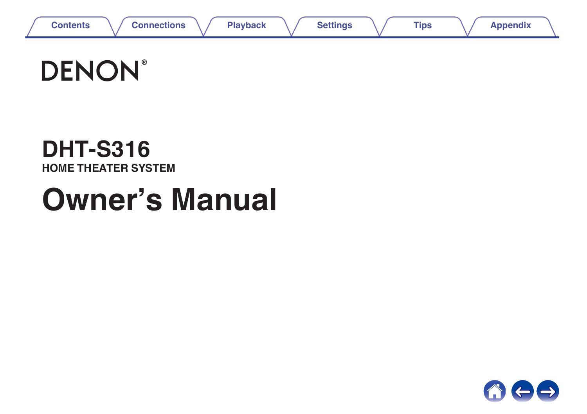

# **DENON®**

## **DHT-S316 HOME THEATER SYSTEM**

# **Owner's Manual**

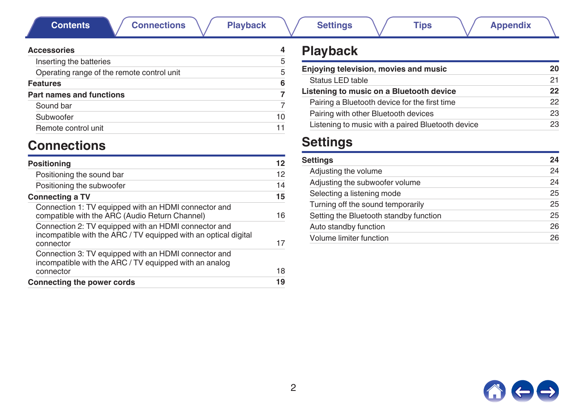**Contents [Connections](#page-11-0) [Playback](#page-19-0) [Settings](#page-23-0) [Tips](#page-26-0) [Appendix](#page-31-0)** 

<span id="page-1-0"></span>

| <b>Accessories</b>                         |    |
|--------------------------------------------|----|
| Inserting the batteries                    | 5  |
| Operating range of the remote control unit | 5  |
| <b>Features</b>                            | 6  |
| Part names and functions                   |    |
| Sound bar                                  | 7  |
| Subwoofer                                  | 10 |
| Remote control unit                        | 11 |
|                                            |    |

### **Connections**

| Positioning                                                                                                                          | 12 |
|--------------------------------------------------------------------------------------------------------------------------------------|----|
| Positioning the sound bar                                                                                                            | 12 |
| Positioning the subwoofer                                                                                                            | 14 |
| <b>Connecting a TV</b>                                                                                                               | 15 |
| Connection 1: TV equipped with an HDMI connector and<br>compatible with the ARC (Audio Return Channel)                               | 16 |
| Connection 2: TV equipped with an HDMI connector and<br>incompatible with the ARC / TV equipped with an optical digital<br>connector | 17 |
| Connection 3: TV equipped with an HDMI connector and<br>incompatible with the ARC / TV equipped with an analog<br>connector          | 18 |
| Connecting the power cords                                                                                                           | 19 |
|                                                                                                                                      |    |

### **Playback**

| Enjoying television, movies and music             | 20 |
|---------------------------------------------------|----|
| Status LED table                                  | 21 |
| Listening to music on a Bluetooth device          | 22 |
| Pairing a Bluetooth device for the first time     | 22 |
| Pairing with other Bluetooth devices              | 23 |
| Listening to music with a paired Bluetooth device | 23 |

### **Settings**

| Settings                               | 24 |
|----------------------------------------|----|
| Adjusting the volume                   | 24 |
| Adjusting the subwoofer volume         | 24 |
| Selecting a listening mode             | 25 |
| Turning off the sound temporarily      | 25 |
| Setting the Bluetooth standby function | 25 |
| Auto standby function                  | 26 |
| Volume limiter function                | 26 |

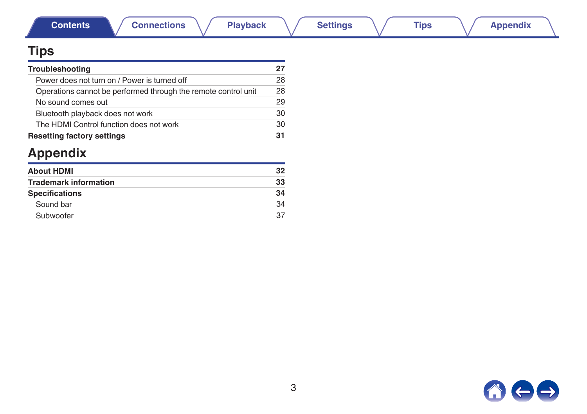### **Tips**

| Troubleshooting                                                | 27 |
|----------------------------------------------------------------|----|
| Power does not turn on / Power is turned off                   | 28 |
| Operations cannot be performed through the remote control unit | 28 |
| No sound comes out                                             | 29 |
| Bluetooth playback does not work                               | 30 |
| The HDMI Control function does not work                        | 30 |
| <b>Resetting factory settings</b>                              | 31 |

## **Appendix**

| <b>About HDMI</b>            | 32 |
|------------------------------|----|
| <b>Trademark information</b> | 33 |
| <b>Specifications</b>        | 34 |
| Sound bar                    | 34 |
| Subwoofer                    | 37 |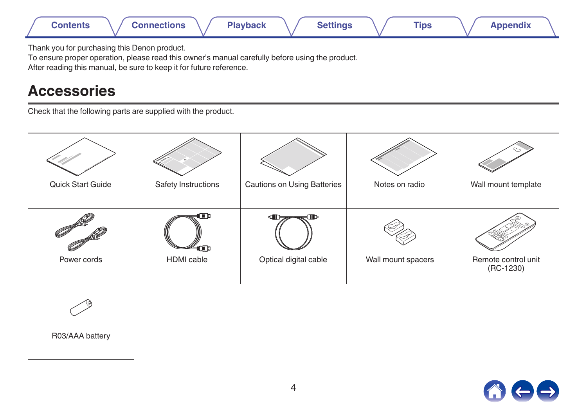<span id="page-3-0"></span>

Thank you for purchasing this Denon product.

To ensure proper operation, please read this owner's manual carefully before using the product.

After reading this manual, be sure to keep it for future reference.

### **Accessories**

Check that the following parts are supplied with the product.



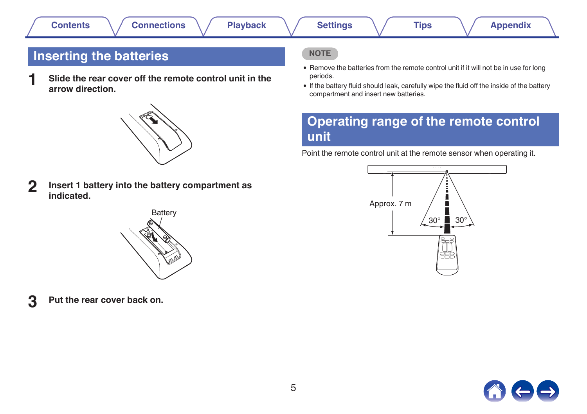<span id="page-4-0"></span>

**1 Slide the rear cover off the remote control unit in the arrow direction.**



**2 Insert 1 battery into the battery compartment as indicated.**



**3 Put the rear cover back on.**

#### **NOTE**

- Remove the batteries from the remote control unit if it will not be in use for long periods.
- 0 If the battery fluid should leak, carefully wipe the fluid off the inside of the battery compartment and insert new batteries.

### **Operating range of the remote control unit**

Point the remote control unit at the remote sensor when operating it.



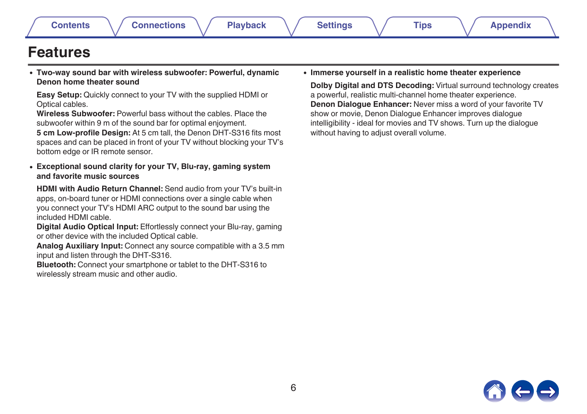### <span id="page-5-0"></span>**Features**

0 **Two-way sound bar with wireless subwoofer: Powerful, dynamic Denon home theater sound**

**Easy Setup:** Quickly connect to your TV with the supplied HDMI or Optical cables.

**Wireless Subwoofer:** Powerful bass without the cables. Place the subwoofer within 9 m of the sound bar for optimal enjoyment. **5 cm Low-profile Design:** At 5 cm tall, the Denon DHT-S316 fits most spaces and can be placed in front of your TV without blocking your TV's bottom edge or IR remote sensor.

0 **Exceptional sound clarity for your TV, Blu-ray, gaming system and favorite music sources**

**HDMI with Audio Return Channel:** Send audio from your TV's built-in apps, on-board tuner or HDMI connections over a single cable when you connect your TV's HDMI ARC output to the sound bar using the included HDMI cable.

**Digital Audio Optical Input:** Effortlessly connect your Blu-ray, gaming or other device with the included Optical cable.

**Analog Auxiliary Input:** Connect any source compatible with a 3.5 mm input and listen through the DHT-S316.

**Bluetooth:** Connect your smartphone or tablet to the DHT-S316 to wirelessly stream music and other audio.

0 **Immerse yourself in a realistic home theater experience**

**Dolby Digital and DTS Decoding:** Virtual surround technology creates a powerful, realistic multi-channel home theater experience. **Denon Dialogue Enhancer:** Never miss a word of your favorite TV show or movie, Denon Dialogue Enhancer improves dialogue intelligibility - ideal for movies and TV shows. Turn up the dialogue without having to adjust overall volume.

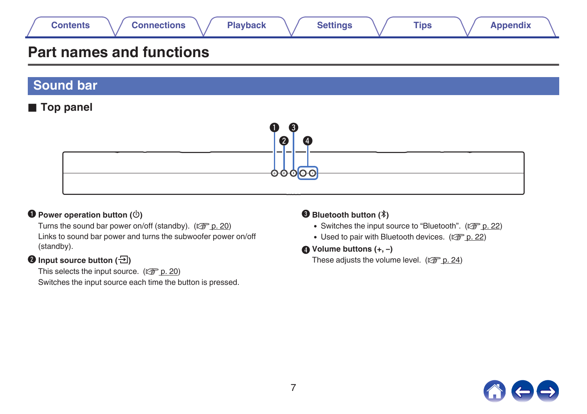<span id="page-6-0"></span>

### **Part names and functions**

**Sound bar**

#### **Top panel**



#### $\bullet$  Power operation button  $(\circled{c})$

Turns the sound bar power on/off (standby).  $(\sqrt{2}P)$  [p. 20\)](#page-19-0) Links to sound bar power and turns the subwoofer power on/off (standby).

#### **2** Input source button ( $\overline{2}$ )

This selects the input source.  $(\sqrt{p} \cdot p. 20)$  $(\sqrt{p} \cdot p. 20)$ Switches the input source each time the button is pressed.

#### **B** Bluetooth button  $(\frac{1}{2})$

- Switches the input source to "Bluetooth". ( $\mathbb{Q}$  [p. 22\)](#page-21-0)
- Used to pair with Bluetooth devices.  $(\sqrt{2^2 D} \cdot 22)$
- D **Volume buttons (+, –)**

These adjusts the volume level. ( $\mathbb{Z}$  [p. 24\)](#page-23-0)

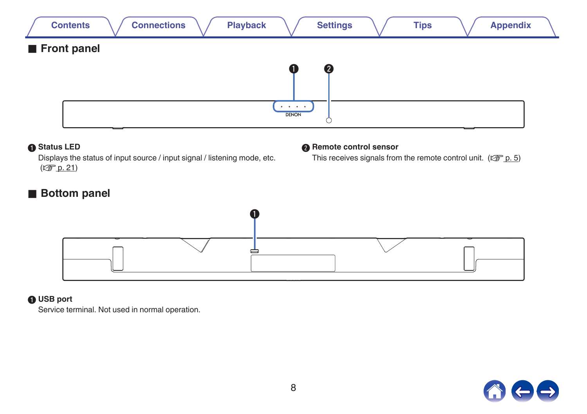

#### A **Status LED**

Displays the status of input source / input signal / listening mode, etc.  $(\sqrt{2} p. 21)$  $(\sqrt{2} p. 21)$ 

#### **B** Remote control sensor

This receives signals from the remote control unit. ( $\mathcal{C} \mathcal{F}$  [p. 5\)](#page-4-0)

#### **Bottom panel**



#### A **USB port**

Service terminal. Not used in normal operation.

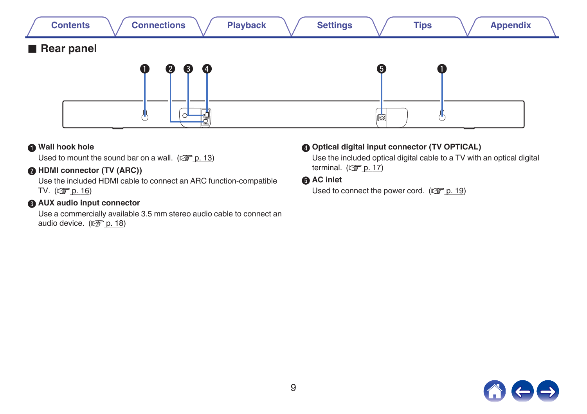

#### A **Wall hook hole**

Used to mount the sound bar on a wall.  $(\sqrt{2} \cdot p. 13)$  $(\sqrt{2} \cdot p. 13)$ 

#### **A** HDMI connector (TV (ARC))

Use the included HDMI cable to connect an ARC function-compatible TV. (2 [p. 16\)](#page-15-0)

#### **AUX audio input connector**

Use a commercially available 3.5 mm stereo audio cable to connect an audio device.  $(\sqrt{p} \cdot p. 18)$  $(\sqrt{p} \cdot p. 18)$ 

#### **@ Optical digital input connector (TV OPTICAL)**

Use the included optical digital cable to a TV with an optical digital terminal.  $(\sqrt[p]{p}$  [p. 17\)](#page-16-0)

#### **AC** inlet

Used to connect the power cord. ( $\mathbb{C}^*$  [p. 19\)](#page-18-0)

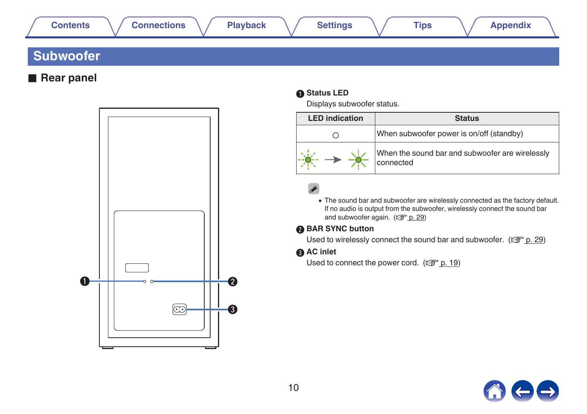<span id="page-9-0"></span>

### **Subwoofer**

**Rear panel** 



#### A **Status LED**

Displays subwoofer status.

| <b>LED</b> indication | <b>Status</b>                                                |
|-----------------------|--------------------------------------------------------------|
|                       | When subwoofer power is on/off (standby)                     |
|                       | When the sound bar and subwoofer are wirelessly<br>connected |

• The sound bar and subwoofer are wirelessly connected as the factory default. If no audio is output from the subwoofer, wirelessly connect the sound bar and subwoofer again.  $(\sqrt{p} \cdot 29)$ 

#### **BAR SYNC button**

Used to wirelessly connect the sound bar and subwoofer. ( $\mathbb{Z}_p^*$  [p. 29\)](#page-28-0)

#### **AC** inlet

Used to connect the power cord.  $(\sqrt{p} \cdot p. 19)$  $(\sqrt{p} \cdot p. 19)$ 

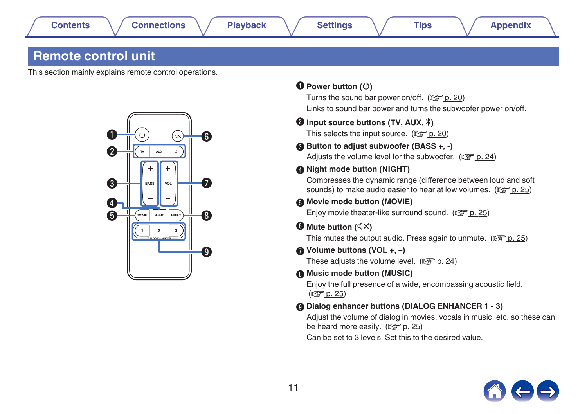### <span id="page-10-0"></span>**Remote control unit**

This section mainly explains remote control operations.



#### $\bullet$  Power button  $(\circled{c})$

Turns the sound bar power on/off.  $(\sqrt{p})$  [p. 20\)](#page-19-0) Links to sound bar power and turns the subwoofer power on/off.

#### **B** Input source buttons (TV, AUX,  $*$ ) This selects the input source.  $(\mathbb{Z}^2 P)$  [p. 20\)](#page-19-0)

## Button to adjust subwoofer (BASS +, -)

Adjusts the volume level for the subwoofer. ( $\mathbb{C}$  [p. 24\)](#page-23-0)

#### **D** Night mode button (NIGHT)

Compresses the dynamic range (difference between loud and soft sounds) to make audio easier to hear at low volumes. ( $\mathbb{Q}_P^*$  [p. 25\)](#page-24-0)

#### **Movie mode button (MOVIE)**

Enjoy movie theater-like surround sound. ( $\mathbb{C}$  [p. 25\)](#page-24-0)

#### $\mathbf{F}$  Mute button ( $\mathbf{d}$ X)

This mutes the output audio. Press again to unmute. ( $\mathbb{Q}$  [p. 25\)](#page-24-0)

#### G **Volume buttons (VOL +, –)**

These adjusts the volume level.  $(\sqrt{p} \cdot 24)$ 

#### **Music mode button (MUSIC)**

Enjoy the full presence of a wide, encompassing acoustic field.  $(\sqrt{2})$  [p. 25\)](#page-24-0)

#### Dialog enhancer buttons (DIALOG ENHANCER 1 - 3)

Adjust the volume of dialog in movies, vocals in music, etc. so these can be heard more easily.  $(\sqrt{p^2 + p^2 + 25})$ 

Can be set to 3 levels. Set this to the desired value.

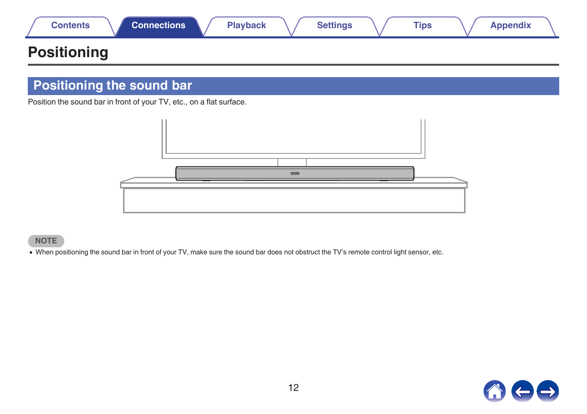<span id="page-11-0"></span>

|  | Contents | Connections<br>Playback | <b>Settings</b> | <b>Tips</b> | <b>\ppendix</b> |
|--|----------|-------------------------|-----------------|-------------|-----------------|
|--|----------|-------------------------|-----------------|-------------|-----------------|

### **Positioning**

### **Positioning the sound bar**

Position the sound bar in front of your TV, etc., on a flat surface.



#### **NOTE**

• When positioning the sound bar in front of your TV, make sure the sound bar does not obstruct the TV's remote control light sensor, etc.

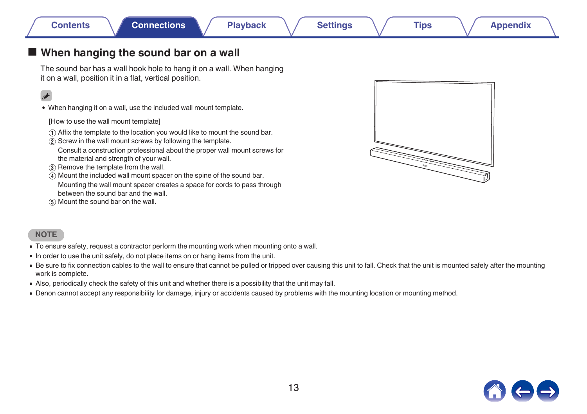#### <span id="page-12-0"></span>■ When hanging the sound bar on a wall

The sound bar has a wall hook hole to hang it on a wall. When hanging it on a wall, position it in a flat, vertical position.

0 When hanging it on a wall, use the included wall mount template.

[How to use the wall mount template]

- A Affix the template to the location you would like to mount the sound bar.
- $\overline{2}$ ) Screw in the wall mount screws by following the template.

Consult a construction professional about the proper wall mount screws for the material and strength of your wall.

- (3) Remove the template from the wall.
- $\overline{A}$ ) Mount the included wall mount spacer on the spine of the sound bar. Mounting the wall mount spacer creates a space for cords to pass through
- between the sound bar and the wall. E Mount the sound bar on the wall.



#### **NOTE**

- 0 To ensure safety, request a contractor perform the mounting work when mounting onto a wall.
- In order to use the unit safely, do not place items on or hang items from the unit.
- Be sure to fix connection cables to the wall to ensure that cannot be pulled or tripped over causing this unit to fall. Check that the unit is mounted safely after the mounting work is complete.
- 0 Also, periodically check the safety of this unit and whether there is a possibility that the unit may fall.
- Denon cannot accept any responsibility for damage, injury or accidents caused by problems with the mounting location or mounting method.

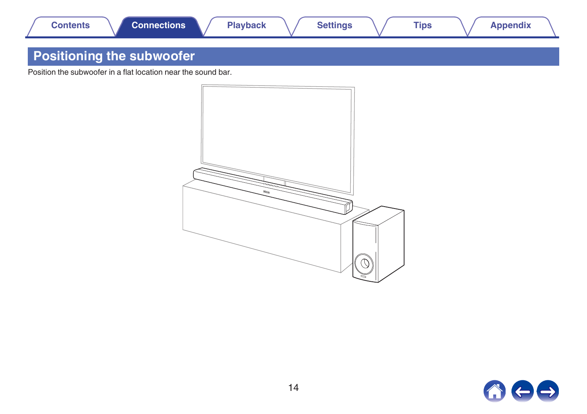<span id="page-13-0"></span>

### **Positioning the subwoofer**

Position the subwoofer in a flat location near the sound bar.



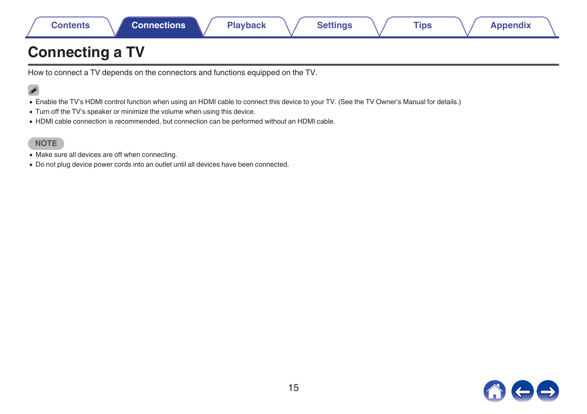<span id="page-14-0"></span>

|  | Contents | <b>Connections</b> | <b>Playback</b> | <b>Settings</b> | <b>Tips</b> | <b>Appendix</b> |
|--|----------|--------------------|-----------------|-----------------|-------------|-----------------|
|--|----------|--------------------|-----------------|-----------------|-------------|-----------------|

### **Connecting a TV**

How to connect a TV depends on the connectors and functions equipped on the TV.

### $\rightarrow$

- 0 Enable the TV's HDMI control function when using an HDMI cable to connect this device to your TV. (See the TV Owner's Manual for details.)
- Turn off the TV's speaker or minimize the volume when using this device.
- 0 HDMI cable connection is recommended, but connection can be performed without an HDMI cable.

#### **NOTE**

- Make sure all devices are off when connecting.
- Do not plug device power cords into an outlet until all devices have been connected.

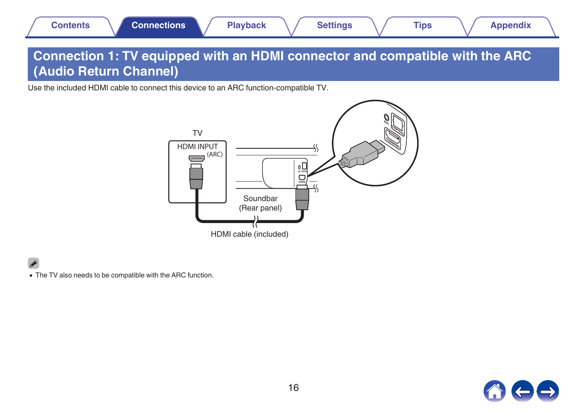### <span id="page-15-0"></span>**Connection 1: TV equipped with an HDMI connector and compatible with the ARC (Audio Return Channel)**

Use the included HDMI cable to connect this device to an ARC function-compatible TV.



 $\overline{\rightarrow}$ 

• The TV also needs to be compatible with the ARC function.

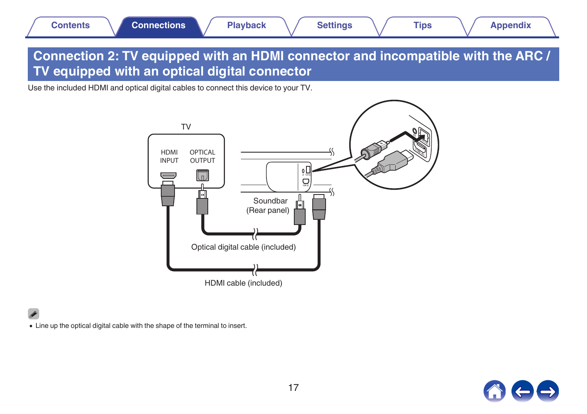### <span id="page-16-0"></span>**Connection 2: TV equipped with an HDMI connector and incompatible with the ARC / TV equipped with an optical digital connector**

Use the included HDMI and optical digital cables to connect this device to your TV.



0 Line up the optical digital cable with the shape of the terminal to insert.

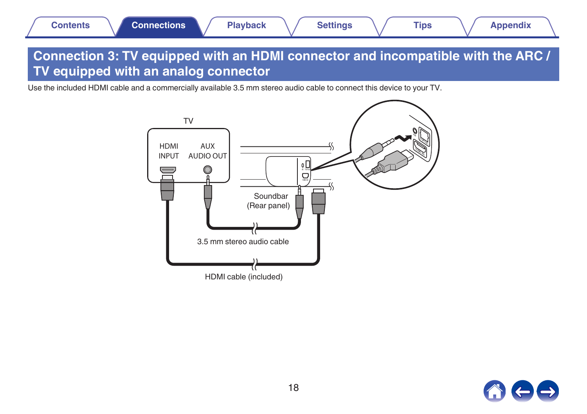### <span id="page-17-0"></span>**Connection 3: TV equipped with an HDMI connector and incompatible with the ARC / TV equipped with an analog connector**

Use the included HDMI cable and a commercially available 3.5 mm stereo audio cable to connect this device to your TV.



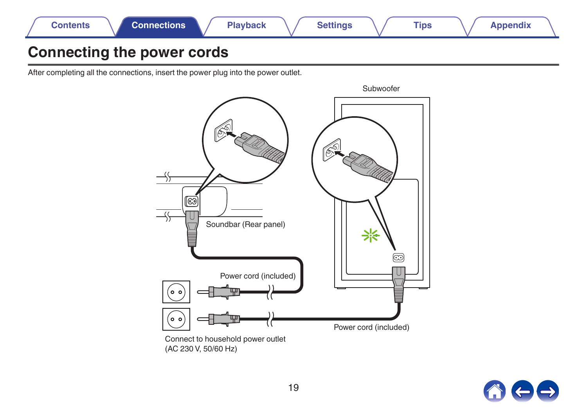<span id="page-18-0"></span>

### **Connecting the power cords**

After completing all the connections, insert the power plug into the power outlet.



(AC 230 V, 50/60 Hz)

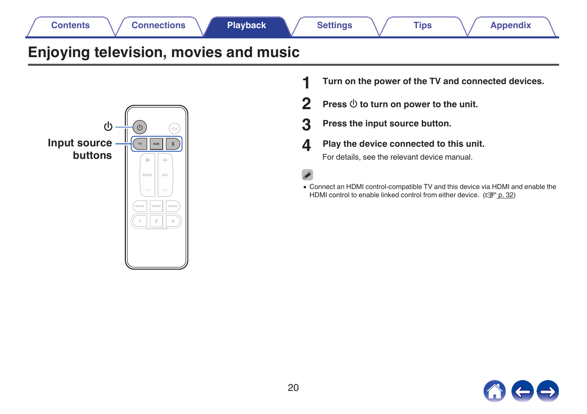<span id="page-19-0"></span>



- **1 Turn on the power of the TV and connected devices.**
- **2** Press  $\Phi$  to turn on power to the unit.
- **3 Press the input source button.**
- **4 Play the device connected to this unit.**

For details, see the relevant device manual.

- 
- 0 Connect an HDMI control-compatible TV and this device via HDMI and enable the HDMI control to enable linked control from either device. ( $\sqrt{p}$  [p. 32\)](#page-31-0)

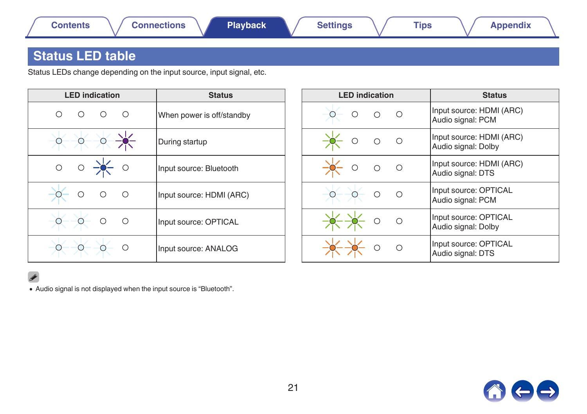### <span id="page-20-0"></span>**Status LED table**

Status LEDs change depending on the input source, input signal, etc.

| <b>LED</b> indication            | <b>Status</b>             | <b>LED</b> indication | <b>Status</b>                                   |
|----------------------------------|---------------------------|-----------------------|-------------------------------------------------|
| О<br>∩<br>∩                      | When power is off/standby |                       | Input source: HDMI (ARC)<br>Audio signal: PCM   |
|                                  | During startup            | ∩<br>()               | Input source: HDMI (ARC)<br>Audio signal: Dolby |
| $\bigcirc$<br>$\circ$            | Input source: Bluetooth   | $\circ$<br>Ω          | Input source: HDMI (ARC)<br>Audio signal: DTS   |
| $\bigcirc$<br>$\circ$<br>$\circ$ | Input source: HDMI (ARC)  |                       | Input source: OPTICAL<br>Audio signal: PCM      |
| $\bigcirc$<br>$\circ$            | Input source: OPTICAL     | ∩                     | Input source: OPTICAL<br>Audio signal: Dolby    |
| Ω                                | Input source: ANALOG      | €                     | Input source: OPTICAL<br>Audio signal: DTS      |

#### $\overline{\rightarrow}$

0 Audio signal is not displayed when the input source is "Bluetooth".

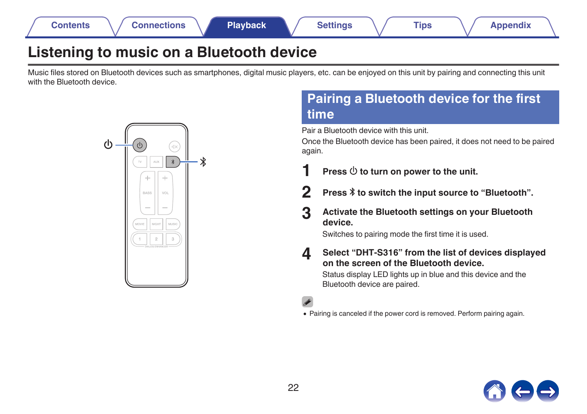<span id="page-21-0"></span>

### **Listening to music on a Bluetooth device**

Music files stored on Bluetooth devices such as smartphones, digital music players, etc. can be enjoyed on this unit by pairing and connecting this unit with the Bluetooth device.



### **Pairing a Bluetooth device for the first time**

Pair a Bluetooth device with this unit.

Once the Bluetooth device has been paired, it does not need to be paired again.

- **Press**  $\Phi$  to turn on power to the unit.
- **2** Press  $*$  to switch the input source to "Bluetooth".
- **3 Activate the Bluetooth settings on your Bluetooth device.**

Switches to pairing mode the first time it is used.

**4 Select "DHT-S316" from the list of devices displayed on the screen of the Bluetooth device.**

Status display LED lights up in blue and this device and the Bluetooth device are paired.

- 
- 0 Pairing is canceled if the power cord is removed. Perform pairing again.

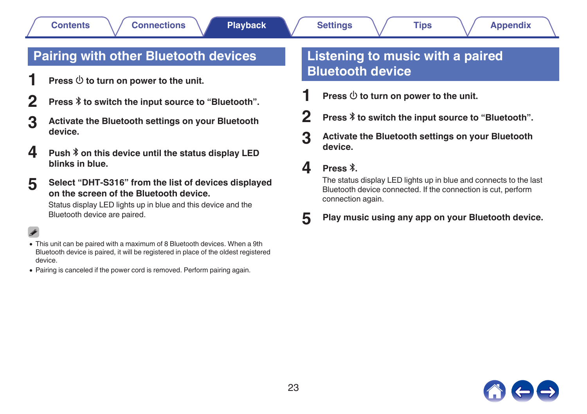### <span id="page-22-0"></span>**Pairing with other Bluetooth devices**

- **Press**  $\Phi$  to turn on power to the unit.
- **2 Press** g **to switch the input source to "Bluetooth".**
- **3 Activate the Bluetooth settings on your Bluetooth device.**
- **4 Push**  $\frac{1}{2}$  **p** on this device until the status display LED **blinks in blue.**
- **5 Select "DHT-S316" from the list of devices displayed on the screen of the Bluetooth device.**

Status display LED lights up in blue and this device and the Bluetooth device are paired.

- 0 This unit can be paired with a maximum of 8 Bluetooth devices. When a 9th Bluetooth device is paired, it will be registered in place of the oldest registered device.
- 0 Pairing is canceled if the power cord is removed. Perform pairing again.

### **Listening to music with a paired Bluetooth device**

- **Press**  $\Phi$  to turn on power to the unit.
- **2 Press** g **to switch the input source to "Bluetooth".**
- **3 Activate the Bluetooth settings on your Bluetooth device.**

### $\Delta$  **Press**  $\lambda$

The status display LED lights up in blue and connects to the last Bluetooth device connected. If the connection is cut, perform connection again.

**5 Play music using any app on your Bluetooth device.**

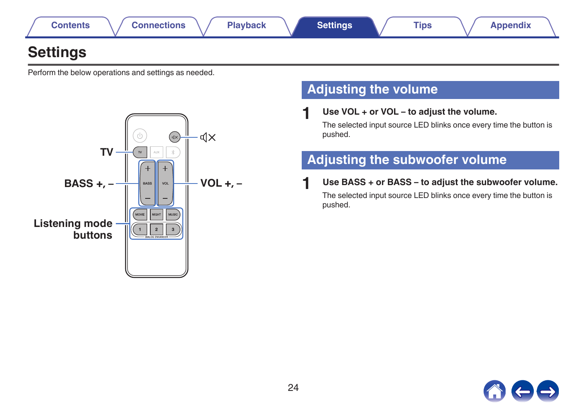<span id="page-23-0"></span>

### **Settings**

Perform the below operations and settings as needed.



### **Adjusting the volume**

**1 Use VOL + or VOL – to adjust the volume.**

The selected input source LED blinks once every time the button is pushed.

### **Adjusting the subwoofer volume**

**1 Use BASS + or BASS – to adjust the subwoofer volume.** The selected input source LED blinks once every time the button is pushed.

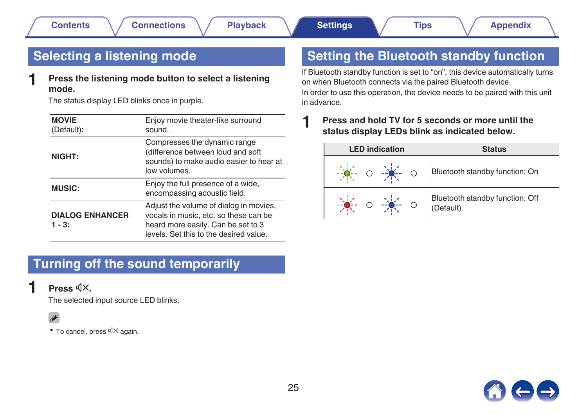### <span id="page-24-0"></span>**Selecting a listening mode**

**1 Press the listening mode button to select a listening mode.**

The status display LED blinks once in purple.

| <b>MOVIE</b><br>(Default):         | Enjoy movie theater-like surround<br>sound.                                                                                                                     |
|------------------------------------|-----------------------------------------------------------------------------------------------------------------------------------------------------------------|
| NIGHT:                             | Compresses the dynamic range<br>(difference between loud and soft<br>sounds) to make audio easier to hear at<br>low volumes.                                    |
| <b>MUSIC:</b>                      | Enjoy the full presence of a wide,<br>encompassing acoustic field.                                                                                              |
| <b>DIALOG ENHANCER</b><br>$1 - 3:$ | Adjust the volume of dialog in movies,<br>vocals in music, etc. so these can be<br>heard more easily. Can be set to 3<br>levels. Set this to the desired value. |

### **Setting the Bluetooth standby function**

If Bluetooth standby function is set to "on", this device automatically turns on when Bluetooth connects via the paired Bluetooth device. In order to use this operation, the device needs to be paired with this unit in advance.

#### **1 Press and hold TV for 5 seconds or more until the status display LEDs blink as indicated below.**

| <b>LED</b> indication | <b>Status</b>                                |  |
|-----------------------|----------------------------------------------|--|
| $O = \frac{1}{2}$     | Bluetooth standby function: On               |  |
|                       | Bluetooth standby function: Off<br>(Default) |  |

### **Turning off the sound temporarily**

#### $Press$   $\mathbb{d}X$ .

The selected input source LED blinks.



• To cancel, press  $\mathbb{d} \times$  again.

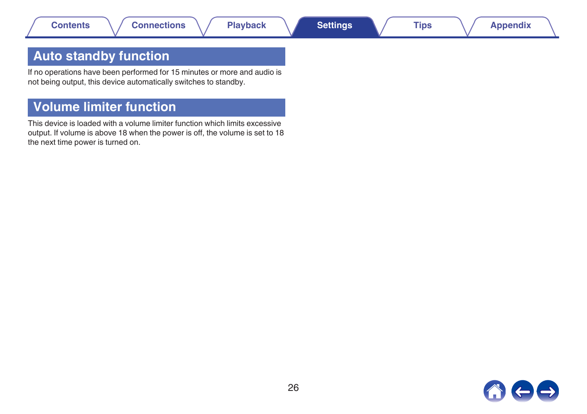### <span id="page-25-0"></span>**Auto standby function**

If no operations have been performed for 15 minutes or more and audio is not being output, this device automatically switches to standby.

### **Volume limiter function**

This device is loaded with a volume limiter function which limits excessive output. If volume is above 18 when the power is off, the volume is set to 18 the next time power is turned on.

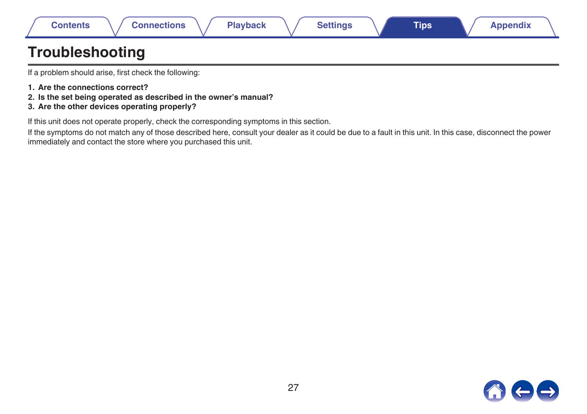<span id="page-26-0"></span>

| Contents | <b>nections</b> | Playback | <b>Settings</b> | <b>Tips</b> | <b>spendix</b> |
|----------|-----------------|----------|-----------------|-------------|----------------|
|          |                 |          |                 |             |                |

### **Troubleshooting**

If a problem should arise, first check the following:

- **1. Are the connections correct?**
- **2. Is the set being operated as described in the owner's manual?**
- **3. Are the other devices operating properly?**

If this unit does not operate properly, check the corresponding symptoms in this section.

If the symptoms do not match any of those described here, consult your dealer as it could be due to a fault in this unit. In this case, disconnect the power immediately and contact the store where you purchased this unit.

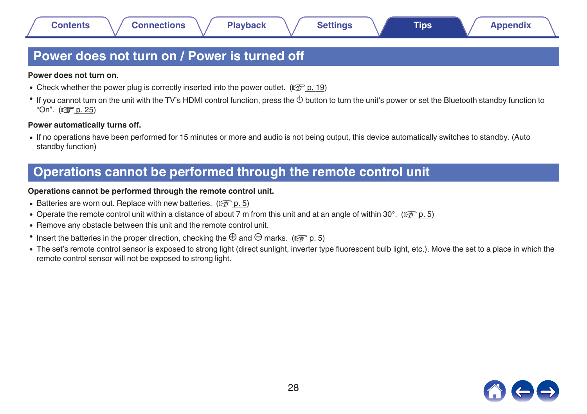### <span id="page-27-0"></span>**Power does not turn on / Power is turned off**

#### **Power does not turn on.**

- Check whether the power plug is correctly inserted into the power outlet. ( $\mathbb{Q}$  [p. 19\)](#page-18-0)
- $\bullet$  If you cannot turn on the unit with the TV's HDMI control function, press the  $\circlearrowright$  button to turn the unit's power or set the Bluetooth standby function to "On". ( $\sqrt{p}$  [p. 25\)](#page-24-0)

#### **Power automatically turns off.**

0 If no operations have been performed for 15 minutes or more and audio is not being output, this device automatically switches to standby. (Auto standby function)

### **Operations cannot be performed through the remote control unit**

#### **Operations cannot be performed through the remote control unit.**

- Batteries are worn out. Replace with new batteries.  $(\sqrt[p]{p} n. 5)$
- Operate the remote control unit within a distance of about 7 m from this unit and at an angle of within 30°. ( $\mathbb{F}$  [p. 5\)](#page-4-0)
- Remove any obstacle between this unit and the remote control unit.
- **•** Insert the batteries in the proper direction, checking the  $\oplus$  and  $\ominus$  marks. ( $\circ$  [p. 5\)](#page-4-0)
- The set's remote control sensor is exposed to strong light (direct sunlight, inverter type fluorescent bulb light, etc.). Move the set to a place in which the remote control sensor will not be exposed to strong light.

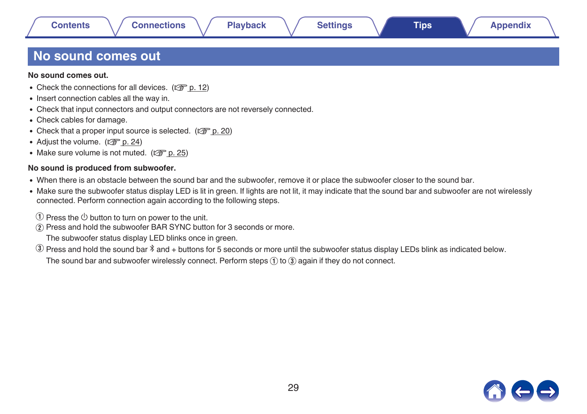### <span id="page-28-0"></span>**No sound comes out**

**No sound comes out.**

- Check the connections for all devices.  $(\sqrt[p]{p} \cdot p. 12)$  $(\sqrt[p]{p} \cdot p. 12)$
- Insert connection cables all the way in.
- Check that input connectors and output connectors are not reversely connected.
- Check cables for damage.
- Check that a proper input source is selected. ( $\mathbb{Q}$  [p. 20\)](#page-19-0)
- Adjust the volume.  $(\sqrt{2\pi} p. 24)$  $(\sqrt{2\pi} p. 24)$
- Make sure volume is not muted.  $(\sqrt[p]{p})$  [p. 25\)](#page-24-0)

#### **No sound is produced from subwoofer.**

- When there is an obstacle between the sound bar and the subwoofer, remove it or place the subwoofer closer to the sound bar.
- Make sure the subwoofer status display LED is lit in green. If lights are not lit, it may indicate that the sound bar and subwoofer are not wirelessly connected. Perform connection again according to the following steps.
	- $\circ$  Press the  $\circledcirc$  button to turn on power to the unit.
- (2) Press and hold the subwoofer BAR SYNC button for 3 seconds or more.

The subwoofer status display LED blinks once in green.

 $\circled{3}$  Press and hold the sound bar  $\ast$  and + buttons for 5 seconds or more until the subwoofer status display LEDs blink as indicated below.

The sound bar and subwoofer wirelessly connect. Perform steps  $(1)$  to  $(3)$  again if they do not connect.

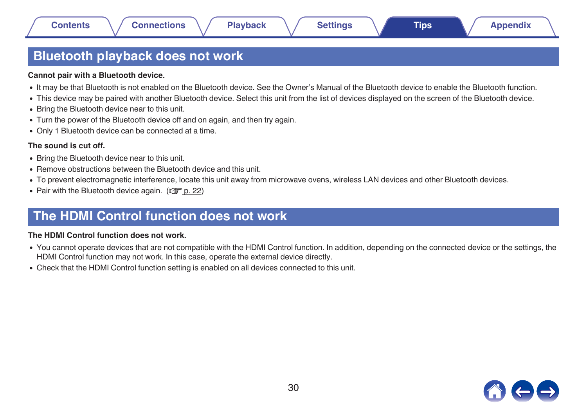### <span id="page-29-0"></span>**Bluetooth playback does not work**

#### **Cannot pair with a Bluetooth device.**

- 0 It may be that Bluetooth is not enabled on the Bluetooth device. See the Owner's Manual of the Bluetooth device to enable the Bluetooth function.
- This device may be paired with another Bluetooth device. Select this unit from the list of devices displayed on the screen of the Bluetooth device.
- Bring the Bluetooth device near to this unit.
- Turn the power of the Bluetooth device off and on again, and then try again.
- Only 1 Bluetooth device can be connected at a time.

#### **The sound is cut off.**

- Bring the Bluetooth device near to this unit.
- Remove obstructions between the Bluetooth device and this unit.
- To prevent electromagnetic interference, locate this unit away from microwave ovens, wireless LAN devices and other Bluetooth devices.
- Pair with the Bluetooth device again.  $(\mathbb{Z}^n)$  [p. 22\)](#page-21-0)

### **The HDMI Control function does not work**

#### **The HDMI Control function does not work.**

- 0 You cannot operate devices that are not compatible with the HDMI Control function. In addition, depending on the connected device or the settings, the HDMI Control function may not work. In this case, operate the external device directly.
- 0 Check that the HDMI Control function setting is enabled on all devices connected to this unit.

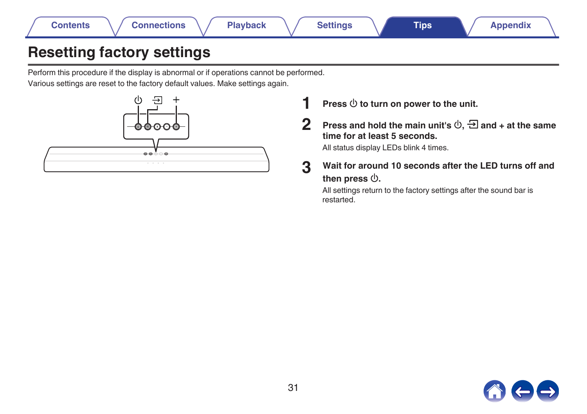<span id="page-30-0"></span>

### **Resetting factory settings**

Perform this procedure if the display is abnormal or if operations cannot be performed. Various settings are reset to the factory default values. Make settings again.



**1 Press**  $\Phi$  to turn on power to the unit.

**2** Press and hold the main unit's  $\phi$ ,  $\Xi$  and + at the same **time for at least 5 seconds.**

All status display LEDs blink 4 times.

**3 Wait for around 10 seconds after the LED turns off and** then press  $\psi$ .

All settings return to the factory settings after the sound bar is restarted.

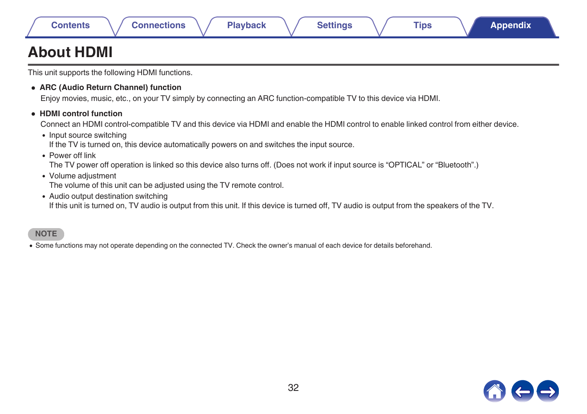|  | onten |  |  |  |
|--|-------|--|--|--|

## <span id="page-31-0"></span>**About HDMI**

This unit supports the following HDMI functions.

0 **ARC (Audio Return Channel) function**

Enjoy movies, music, etc., on your TV simply by connecting an ARC function-compatible TV to this device via HDMI.

0 **HDMI control function**

Connect an HDMI control-compatible TV and this device via HDMI and enable the HDMI control to enable linked control from either device.

• Input source switching

If the TV is turned on, this device automatically powers on and switches the input source.

 $\bullet$  Power off link

The TV power off operation is linked so this device also turns off. (Does not work if input source is "OPTICAL" or "Bluetooth".)

• Volume adjustment

The volume of this unit can be adjusted using the TV remote control.

• Audio output destination switching

If this unit is turned on, TV audio is output from this unit. If this device is turned off, TV audio is output from the speakers of the TV.

#### **NOTE**

0 Some functions may not operate depending on the connected TV. Check the owner's manual of each device for details beforehand.

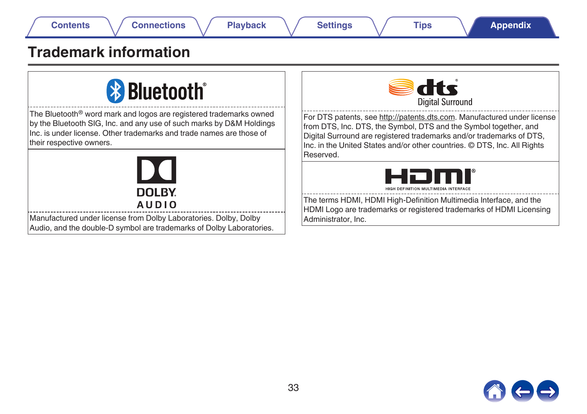## <span id="page-32-0"></span>**Trademark information**

# **& Bluetooth**®

The Bluetooth<sup>®</sup> word mark and logos are registered trademarks owned by the Bluetooth SIG, Inc. and any use of such marks by D&M Holdings Inc. is under license. Other trademarks and trade names are those of their respective owners.



Manufactured under license from Dolby Laboratories. Dolby, Dolby Audio, and the double-D symbol are trademarks of Dolby Laboratories.



For DTS patents, see http://patents.dts.com. Manufactured under license from DTS, Inc. DTS, the Symbol, DTS and the Symbol together, and Digital Surround are registered trademarks and/or trademarks of DTS, Inc. in the United States and/or other countries. © DTS, Inc. All Rights Reserved.



The terms HDMI, HDMI High-Definition Multimedia Interface, and the HDMI Logo are trademarks or registered trademarks of HDMI Licensing Administrator, Inc.

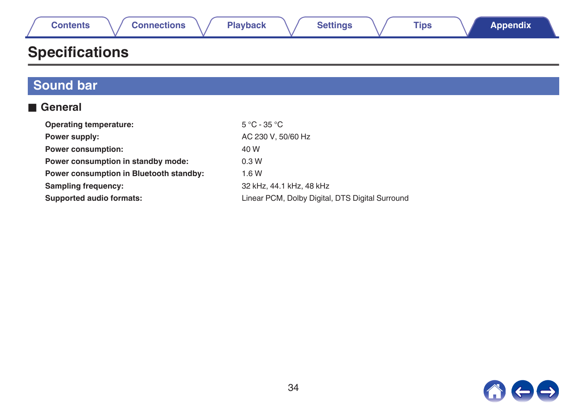<span id="page-33-0"></span>

## **Specifications**

| <b>Sound bar</b>                        |                                                 |
|-----------------------------------------|-------------------------------------------------|
| <b>■ General</b>                        |                                                 |
| <b>Operating temperature:</b>           | $5^{\circ}$ C - 35 $^{\circ}$ C                 |
| Power supply:                           | AC 230 V, 50/60 Hz                              |
| <b>Power consumption:</b>               | 40 W                                            |
| Power consumption in standby mode:      | 0.3W                                            |
| Power consumption in Bluetooth standby: | 1.6W                                            |
| <b>Sampling frequency:</b>              | 32 kHz, 44.1 kHz, 48 kHz                        |
| <b>Supported audio formats:</b>         | Linear PCM, Dolby Digital, DTS Digital Surround |

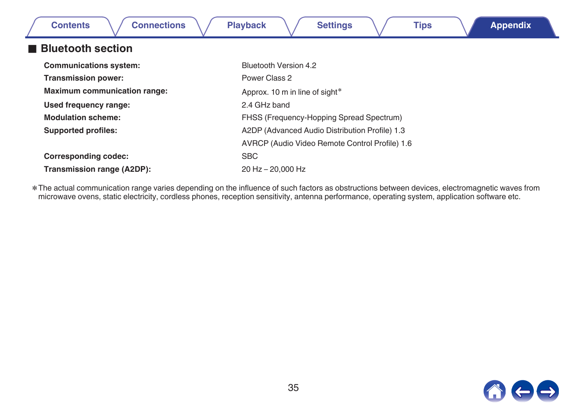| <b>Connections</b><br><b>Contents</b> | <b>Playback</b><br><b>Settings</b><br><b>Tips</b><br><b>Appendix</b> |  |  |  |
|---------------------------------------|----------------------------------------------------------------------|--|--|--|
| <b>Bluetooth section</b>              |                                                                      |  |  |  |
| <b>Communications system:</b>         | Bluetooth Version 4.2                                                |  |  |  |
| <b>Transmission power:</b>            | Power Class 2                                                        |  |  |  |
| <b>Maximum communication range:</b>   | Approx. 10 m in line of sight*                                       |  |  |  |
| Used frequency range:                 | 2.4 GHz band                                                         |  |  |  |
| <b>Modulation scheme:</b>             | FHSS (Frequency-Hopping Spread Spectrum)                             |  |  |  |
| <b>Supported profiles:</b>            | A2DP (Advanced Audio Distribution Profile) 1.3                       |  |  |  |
|                                       | AVRCP (Audio Video Remote Control Profile) 1.6                       |  |  |  |
| <b>Corresponding codec:</b>           | <b>SBC</b>                                                           |  |  |  |
| Transmission range (A2DP):            | 20 Hz - 20,000 Hz                                                    |  |  |  |

\* The actual communication range varies depending on the influence of such factors as obstructions between devices, electromagnetic waves from<br>microwave ovens, static electricity, cordless phones, reception sensitivity, an

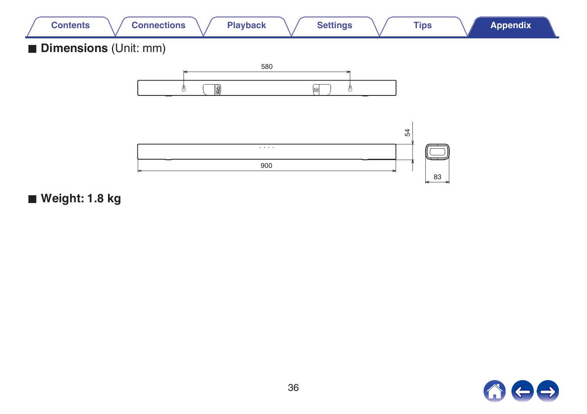

■ Weight: 1.8 kg

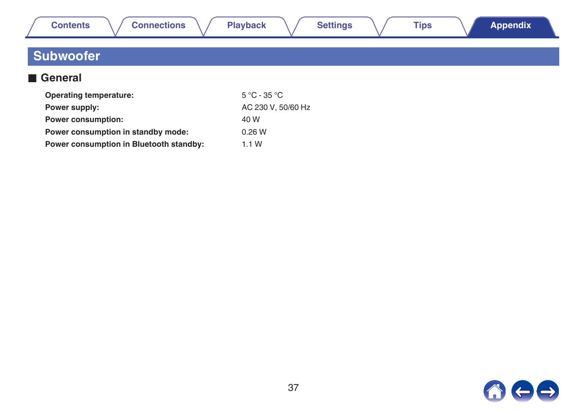<span id="page-36-0"></span>

| <b>Contents</b><br><b>Connections</b>   | <b>Settings</b><br><b>Playback</b> | <b>Tips</b> | <b>Appendix</b> |
|-----------------------------------------|------------------------------------|-------------|-----------------|
| <b>Subwoofer</b>                        |                                    |             |                 |
| General                                 |                                    |             |                 |
| <b>Operating temperature:</b>           | $5^{\circ}$ C - 35 $^{\circ}$ C    |             |                 |
| Power supply:                           | AC 230 V, 50/60 Hz                 |             |                 |
| <b>Power consumption:</b>               | 40 W                               |             |                 |
| Power consumption in standby mode:      | 0.26W                              |             |                 |
| Power consumption in Bluetooth standby: | 1.1W                               |             |                 |

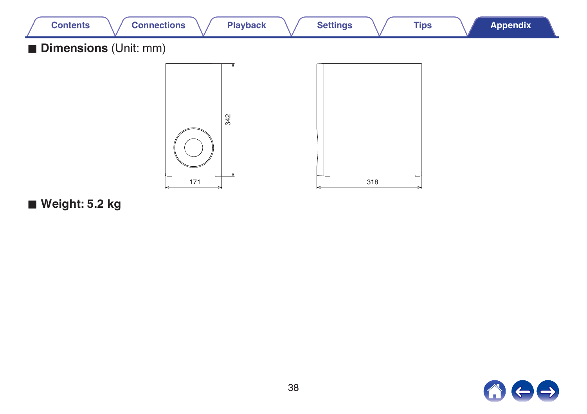

Weight: 5.2 kg